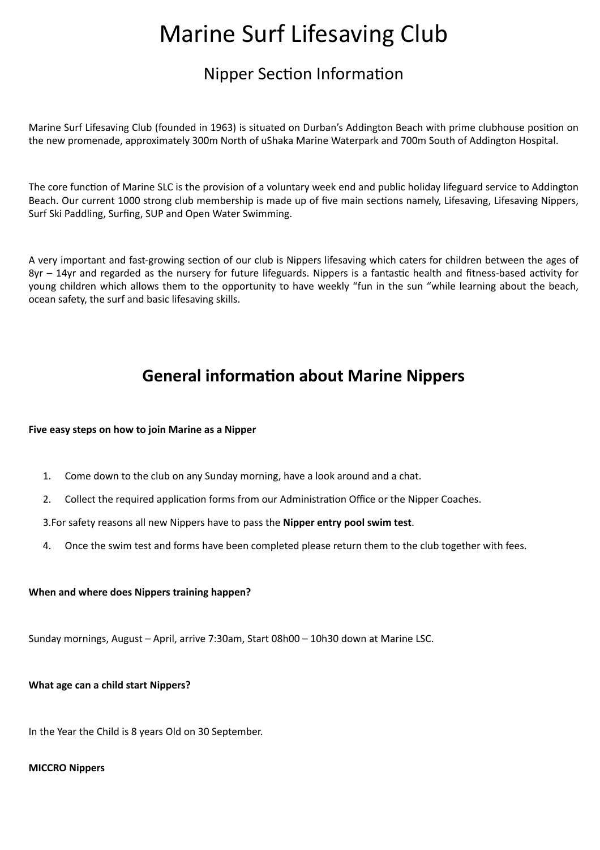# Marine Surf Lifesaving Club

# Nipper Section Information

Marine Surf Lifesaving Club (founded in 1963) is situated on Durban's Addington Beach with prime clubhouse position on the new promenade, approximately 300m North of uShaka Marine Waterpark and 700m South of Addington Hospital.

The core function of Marine SLC is the provision of a voluntary week end and public holiday lifeguard service to Addington Beach. Our current 1000 strong club membership is made up of five main sections namely, Lifesaving, Lifesaving Nippers, Surf Ski Paddling, Surfing, SUP and Open Water Swimming.

A very important and fast-growing section of our club is Nippers lifesaving which caters for children between the ages of 8yr – 14yr and regarded as the nursery for future lifeguards. Nippers is a fantastic health and fitness-based activity for young children which allows them to the opportunity to have weekly "fun in the sun "while learning about the beach, ocean safety, the surf and basic lifesaving skills.

# **General information about Marine Nippers**

#### **Five easy steps on how to join Marine as a Nipper**

- 1. Come down to the club on any Sunday morning, have a look around and a chat.
- 2. Collect the required application forms from our Administration Office or the Nipper Coaches.

3.For safety reasons all new Nippers have to pass the **Nipper entry pool swim test**.

4. Once the swim test and forms have been completed please return them to the club together with fees.

#### **When and where does Nippers training happen?**

Sunday mornings, August – April, arrive 7:30am, Start 08h00 – 10h30 down at Marine LSC.

**What age can a child start Nippers?**

In the Year the Child is 8 years Old on 30 September.

### **MICCRO Nippers**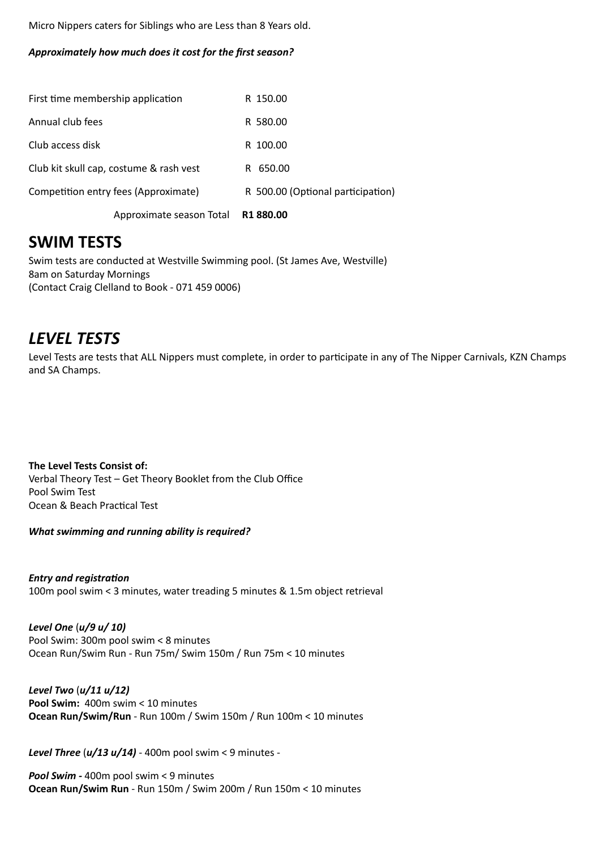Micro Nippers caters for Siblings who are Less than 8 Years old.

#### *Approximately how much does it cost for the first season?*

| First time membership application       | R 150.00                          |
|-----------------------------------------|-----------------------------------|
| Annual club fees                        | R 580.00                          |
| Club access disk                        | R 100.00                          |
| Club kit skull cap, costume & rash vest | R 650.00                          |
| Competition entry fees (Approximate)    | R 500.00 (Optional participation) |
|                                         |                                   |

Approximate season Total **R1 880.00**

### **SWIM TESTS**

Swim tests are conducted at Westville Swimming pool. (St James Ave, Westville) 8am on Saturday Mornings (Contact Craig Clelland to Book - 071 459 0006)

### *LEVEL TESTS*

Level Tests are tests that ALL Nippers must complete, in order to participate in any of The Nipper Carnivals, KZN Champs and SA Champs.

**The Level Tests Consist of:** Verbal Theory Test – Get Theory Booklet from the Club Office Pool Swim Test Ocean & Beach Practical Test

*What swimming and running ability is required?*

*Entry and registration* 100m pool swim < 3 minutes, water treading 5 minutes & 1.5m object retrieval

*Level One* (*u/9 u/ 10)* Pool Swim: 300m pool swim < 8 minutes Ocean Run/Swim Run - Run 75m/ Swim 150m / Run 75m < 10 minutes

*Level Two* (*u/11 u/12)* **Pool Swim:** 400m swim < 10 minutes **Ocean Run/Swim/Run** - Run 100m / Swim 150m / Run 100m < 10 minutes

*Level Three* (*u/13 u/14)* - 400m pool swim < 9 minutes -

*Pool Swim -* 400m pool swim < 9 minutes **Ocean Run/Swim Run** - Run 150m / Swim 200m / Run 150m < 10 minutes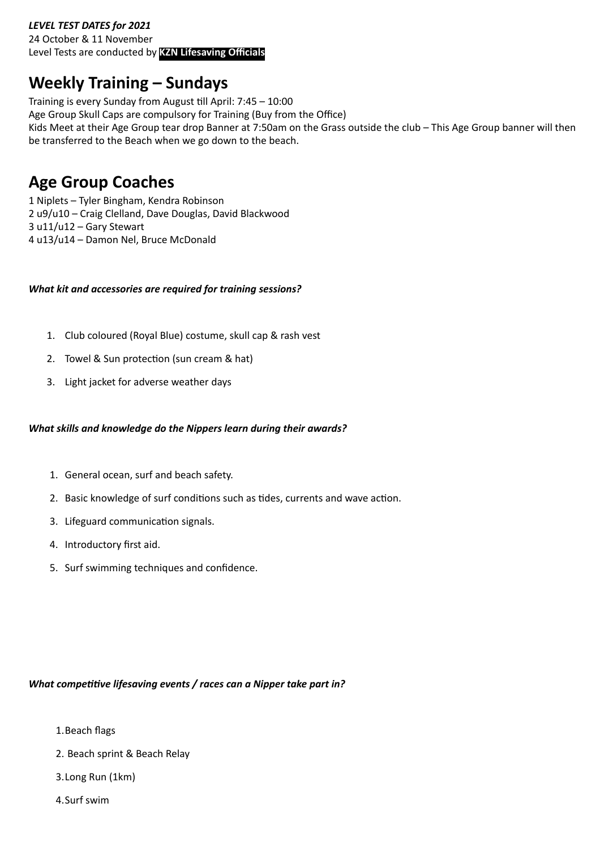### *LEVEL TEST DATES for 2021*

24 October & 11 November Level Tests are conducted by **KZN Lifesaving Officials**

# **Weekly Training – Sundays**

Training is every Sunday from August till April: 7:45 – 10:00 Age Group Skull Caps are compulsory for Training (Buy from the Office) Kids Meet at their Age Group tear drop Banner at 7:50am on the Grass outside the club – This Age Group banner will then be transferred to the Beach when we go down to the beach.

## **Age Group Coaches**

1 Niplets – Tyler Bingham, Kendra Robinson 2 u9/u10 – Craig Clelland, Dave Douglas, David Blackwood 3 u11/u12 – Gary Stewart 4 u13/u14 – Damon Nel, Bruce McDonald

#### *What kit and accessories are required for training sessions?*

- 1. Club coloured (Royal Blue) costume, skull cap & rash vest
- 2. Towel & Sun protection (sun cream & hat)
- 3. Light jacket for adverse weather days

#### *What skills and knowledge do the Nippers learn during their awards?*

- 1. General ocean, surf and beach safety.
- 2. Basic knowledge of surf conditions such as tides, currents and wave action.
- 3. Lifeguard communication signals.
- 4. Introductory first aid.
- 5. Surf swimming techniques and confidence.

### *What competitive lifesaving events / races can a Nipper take part in?*

- 1.Beach flags
- 2. Beach sprint & Beach Relay
- 3.Long Run (1km)
- 4.Surf swim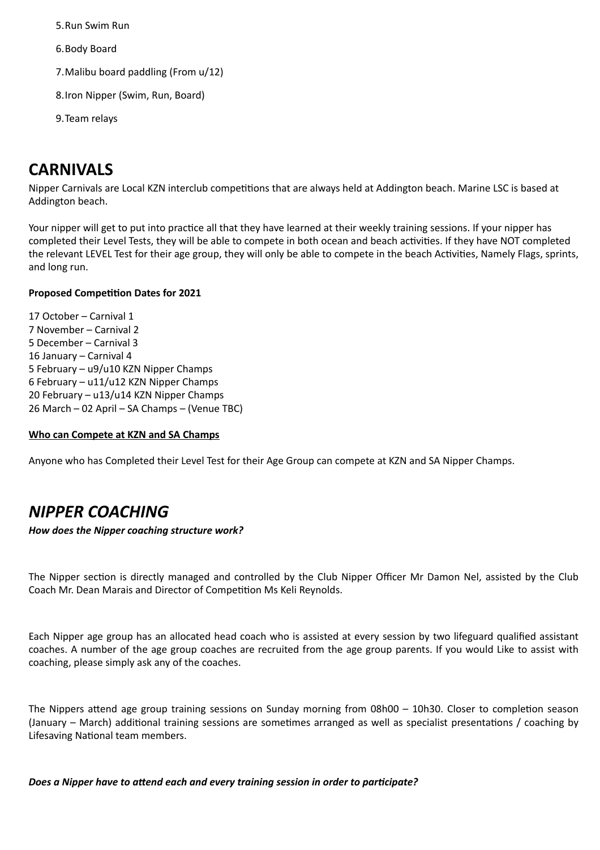5.Run Swim Run

6.Body Board

7.Malibu board paddling (From u/12)

8.Iron Nipper (Swim, Run, Board)

9.Team relays

# **CARNIVALS**

Nipper Carnivals are Local KZN interclub competitions that are always held at Addington beach. Marine LSC is based at Addington beach.

Your nipper will get to put into practice all that they have learned at their weekly training sessions. If your nipper has completed their Level Tests, they will be able to compete in both ocean and beach activities. If they have NOT completed the relevant LEVEL Test for their age group, they will only be able to compete in the beach Activities, Namely Flags, sprints, and long run.

### **Proposed Competition Dates for 2021**

17 October – Carnival 1 7 November – Carnival 2 5 December – Carnival 3 16 January – Carnival 4 5 February – u9/u10 KZN Nipper Champs 6 February – u11/u12 KZN Nipper Champs 20 February – u13/u14 KZN Nipper Champs 26 March – 02 April – SA Champs – (Venue TBC)

#### **Who can Compete at KZN and SA Champs**

Anyone who has Completed their Level Test for their Age Group can compete at KZN and SA Nipper Champs.

# *NIPPER COACHING*

*How does the Nipper coaching structure work?*

The Nipper section is directly managed and controlled by the Club Nipper Officer Mr Damon Nel, assisted by the Club Coach Mr. Dean Marais and Director of Competition Ms Keli Reynolds.

Each Nipper age group has an allocated head coach who is assisted at every session by two lifeguard qualified assistant coaches. A number of the age group coaches are recruited from the age group parents. If you would Like to assist with coaching, please simply ask any of the coaches.

The Nippers attend age group training sessions on Sunday morning from 08h00 – 10h30. Closer to completion season (January – March) additional training sessions are sometimes arranged as well as specialist presentations / coaching by Lifesaving National team members.

*Does a Nipper have to attend each and every training session in order to participate?*